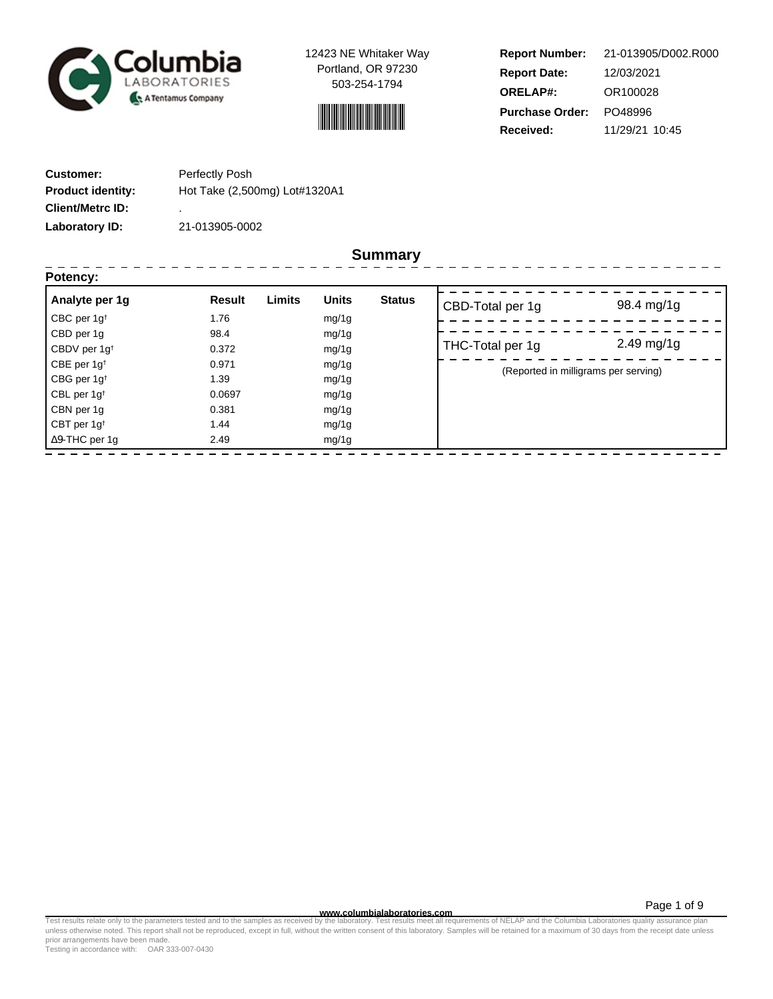

12423 NE Whitaker Way Portland, OR 97230 503-254-1794



**Report Number: Report Date: ORELAP#:** 12/03/2021 OR100028 **Received:** 11/29/21 10:45 **Purchase Order:** PO48996 21-013905/D002.R000

| <b>Customer:</b>         | Perfectly Posh                |
|--------------------------|-------------------------------|
| <b>Product identity:</b> | Hot Take (2,500mg) Lot#1320A1 |
| <b>Client/Metrc ID:</b>  | ٠                             |
| Laboratory ID:           | 21-013905-0002                |

**Summary**

| Analyte per 1g           | Limits<br><b>Result</b> | <b>Units</b><br><b>Status</b> | CBD-Total per 1g                     | 98.4 mg/1g              |
|--------------------------|-------------------------|-------------------------------|--------------------------------------|-------------------------|
| CBC per $1g^{\dagger}$   | 1.76                    | mg/1g                         |                                      |                         |
| CBD per 1g               | 98.4                    | mg/1g                         |                                      |                         |
| CBDV per 1g <sup>t</sup> | 0.372                   | mg/1g                         | THC-Total per 1g                     | $2.49 \,\mathrm{mg}/1g$ |
| CBE per $1g^{\dagger}$   | 0.971                   | mg/1g                         | (Reported in milligrams per serving) |                         |
| CBG per $1g^{\dagger}$   | 1.39                    | mg/1g                         |                                      |                         |
| CBL per 1g <sup>t</sup>  | 0.0697                  | mg/1g                         |                                      |                         |
| CBN per 1g               | 0.381                   | mg/1g                         |                                      |                         |
| CBT per $1g†$            | 1.44                    | mg/1g                         |                                      |                         |
| $\Delta$ 9-THC per 1g    | 2.49                    | mg/1g                         |                                      |                         |

Page 1 of 9

www.columbialaboratories.com<br>Test results relate only to the parameters tested and to the samples as received by the laboratories metall requirements of NELAP and the Columbia Laboratories quality assurance plan<br>unless oth prior arrangements have been made.